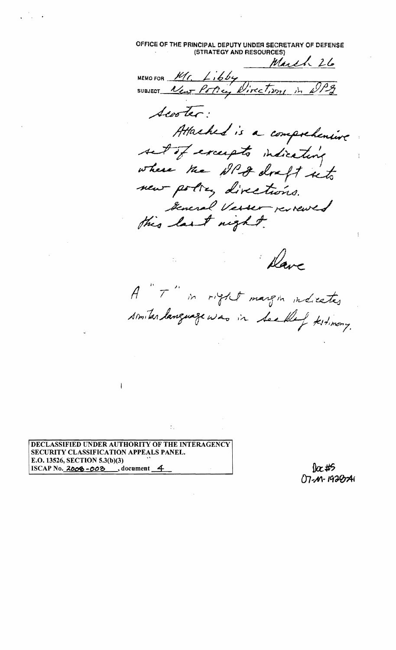OFFICE **OF** THE PRINCIPAL DEPUTY UNDER SECRETARY OF DEFENSE (STRATEGY AND RESOURCES)

March 26  $M$ EMO FOR  $M$ <sub>f</sub>. L<sub>ibby</sub> SUBJECT <u>New Potter</u>, Wirect,  $m_1$ , in scooler: Attached is a comprehensive set of excepts indicating where the NPA draft into new policy directions. - policy directions.<br>Incred Vesser reviewed teneral Verser review

Dave

A "T" in right margin indicates similar language was in See Klef testimony.

DECLASSIFIED UNDER AUTHORITY OF THE INTERAGENCY SECURITY CLASSIFICATION APPEALS PANEL. E.O. 13526, SECTION 5.3(b)(3)  $ISCAP No. 2008 -008$ , document  $4$ 

 $\frac{1}{2}$ 07-M-1920741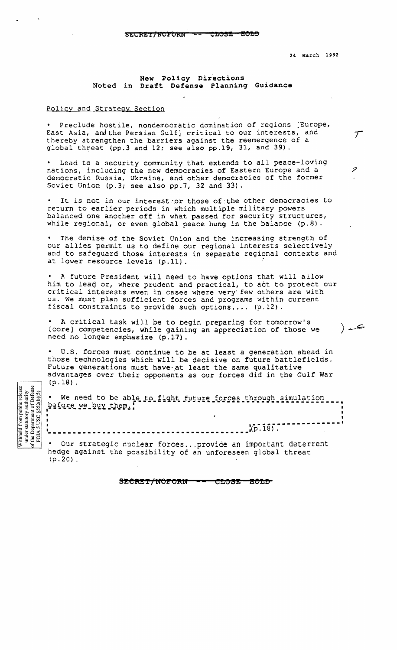S&CREEK NOTIONS **with the content of** 

24 March 1992

 $\tau$ 

ڪ (

## **New Policy Directions Noted in Draft Defense Planninq Guidance**

## Policy and Strategy Section

• Preclude hostile, nondemocratic domination of regions [Europe, East Asia, and the Persian Gulf] critical to our interests, and thereby strengthen the barriers against the reemergence of <sup>a</sup> global threat (pp.3 and  $12$ ; see also pp.19, 31, and 39).

Lead to a security community that extends to all peace-loving nations, including the new democracies of Eastern Europe and a  $\geq$ democratic Russia, Ukraine, and other democracies of the former Soviet Union  $(p.3)$ ; see also  $pp.7$ , 32 and 33).

It is not in our interest or those of the other democracies to return to earlier periods in which multiple military powers balanced one another off in what passed for security structures, while regional, or even global peace hung in the balance  $(p.8)$ .

The demise of the Soviet Union and the increasing strength of our allies permit us to define our regional interests selectively and to safeguard those interests in separate regional contexts and at lower resource levels (p.11).

• A future President will need to have options that will allow him to lead or, where prudent and practical, to act to protect our critical interests even in cases where very few others are with us. We must plan sufficient forces and programs within current fiscal constraints to provide such options....  $(p.12)$ .

A critical task will be to begin preparing for tomorrow's [core) competencies, while gaining an appreciation of those we need no longer emphasize (p.l?).

• U.S. forces must continue to be at least a generation ahead in those technologies which will be decisive on future battlefields. Future generations must have at least the same qualitative advantages over their opponents as our forces did in the Gulf War  $(p.18)$ .

|                     |  |  |  | . We need to be able to fight future forces through simulation |  |
|---------------------|--|--|--|----------------------------------------------------------------|--|
| before we buy them. |  |  |  |                                                                |  |
|                     |  |  |  |                                                                |  |

Our strategic nuclear forces...provide an important deterrent hedge against the possibility of an unforeseen global threat  $(p.20)$ .

• .(p. 18) . **-------------\_.------\_.------------------ .** 

Withheld from public release under statutory authority<br>
the Department of Defense<br>
FOIA 5 USC §52(b)(5)

SECRET/NOFORN CLOSE-**ACLO**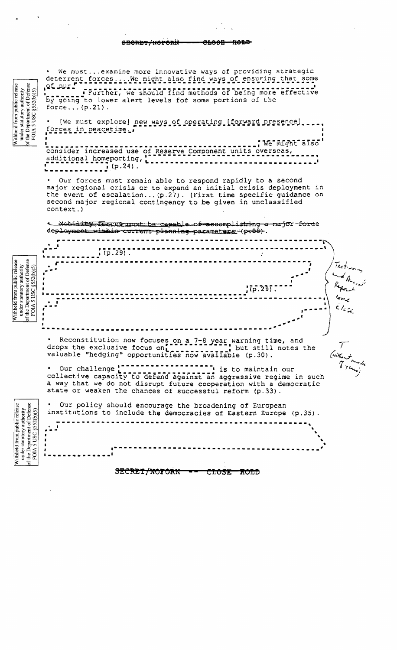وبرومين <del>SHORDT/NOPORN</del> يعصصه

We must... examine more innovative ways of providing strategic deterrent forces.... We might also find ways of ensuring that some et our f Further, we should find methods of being more effective by going to lower alert levels for some portions of the force... $(p.21)$ .

[We must explore] new ways of operating [forward presence] forces in peacetime.

We might also consider increased use of Reserve Component units overseas, additional homeporting, [.]  $\sim$  1  $\frac{1}{2}$  (p.24).

Our forces must remain able to respond rapidly to a second major regional crisis or to expand an initial crisis deployment in the event of escalation... (p.27). (First time specific guidance on second major regional contingency to be given in unclassified context.)

< Mobidity Tourge-must be capable of recomplishing a major force deployment within current planning parameters (pr28).

|                                                                                                                    |                  | $(5.29)$ .                                                                                                                                                                                          |                                    |  |  |  |  |
|--------------------------------------------------------------------------------------------------------------------|------------------|-----------------------------------------------------------------------------------------------------------------------------------------------------------------------------------------------------|------------------------------------|--|--|--|--|
| Withheld from public release<br>under statutory authority<br>of the Department of Defense<br>FOIA S USC §552(b)(5) |                  | $!75.235$ .                                                                                                                                                                                         | Testmony<br>and American<br>Report |  |  |  |  |
|                                                                                                                    |                  |                                                                                                                                                                                                     |                                    |  |  |  |  |
|                                                                                                                    |                  | * Reconstitution now focuses on a 7-8 year warning time, and<br>drops the exclusive focus on [[[[[[[[[[[[[[]]]]] but still notes the<br>valuable "hedging" opportunities now available (p.30).      |                                    |  |  |  |  |
|                                                                                                                    | • Our challenge! | collective capacity to defend against an aggressive regime in such<br>a way that we do not disrupt future cooperation with a democratic<br>state or weaken the chances of successful reform (p.33). | (without more)                     |  |  |  |  |
| $\omega$                                                                                                           |                  | Our policy should encourage the breadening of European                                                                                                                                              |                                    |  |  |  |  |

Our policy should encourage the broadening of European under statutory authority<br>the Department of Defense<br>FOIA 5 USC  $$520(b)(5)$ institutions to include the democracies of Eastern Europe (p.35).  $\frac{1}{\sqrt{2}}$  $\mathbf{r}$  $\mathbf{r}$  $\mathbf{r}$ ⊱

> SECRET/NOFORN CLOSE ROLD

under statutory authority<br>
the Department of Defense<br>
FOIA 5 USC  $$S2(b)(5)$ Withheld from public release

Withheld from public releas